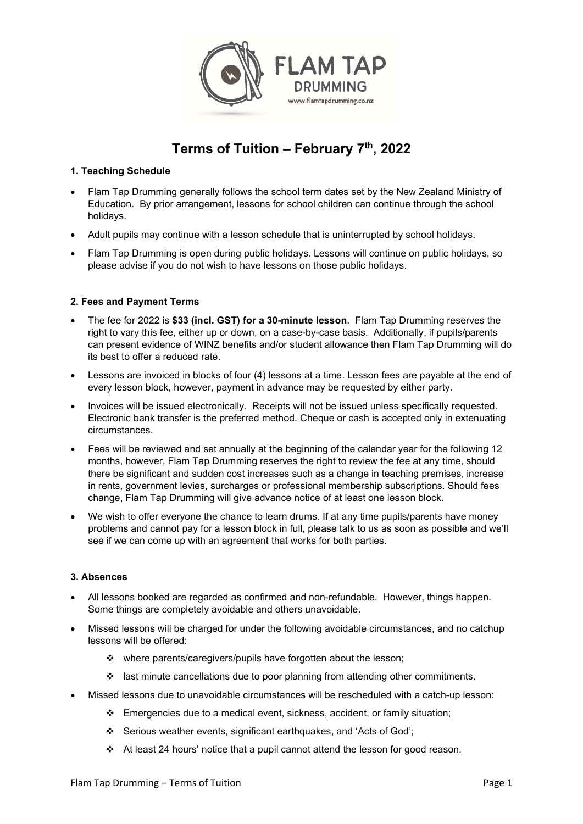

# Terms of Tuition – February  $7<sup>th</sup>$ , 2022

# 1. Teaching Schedule

- Flam Tap Drumming generally follows the school term dates set by the New Zealand Ministry of Education. By prior arrangement, lessons for school children can continue through the school holidays.
- Adult pupils may continue with a lesson schedule that is uninterrupted by school holidays.
- Flam Tap Drumming is open during public holidays. Lessons will continue on public holidays, so please advise if you do not wish to have lessons on those public holidays.

# 2. Fees and Payment Terms

- The fee for 2022 is \$33 (incl. GST) for a 30-minute lesson. Flam Tap Drumming reserves the right to vary this fee, either up or down, on a case-by-case basis. Additionally, if pupils/parents can present evidence of WINZ benefits and/or student allowance then Flam Tap Drumming will do its best to offer a reduced rate.
- Lessons are invoiced in blocks of four (4) lessons at a time. Lesson fees are payable at the end of every lesson block, however, payment in advance may be requested by either party.
- Invoices will be issued electronically. Receipts will not be issued unless specifically requested. Electronic bank transfer is the preferred method. Cheque or cash is accepted only in extenuating circumstances.
- Fees will be reviewed and set annually at the beginning of the calendar year for the following 12 months, however, Flam Tap Drumming reserves the right to review the fee at any time, should there be significant and sudden cost increases such as a change in teaching premises, increase in rents, government levies, surcharges or professional membership subscriptions. Should fees change, Flam Tap Drumming will give advance notice of at least one lesson block.
- We wish to offer everyone the chance to learn drums. If at any time pupils/parents have money problems and cannot pay for a lesson block in full, please talk to us as soon as possible and we'll see if we can come up with an agreement that works for both parties.

### 3. Absences

- All lessons booked are regarded as confirmed and non-refundable. However, things happen. Some things are completely avoidable and others unavoidable.
- Missed lessons will be charged for under the following avoidable circumstances, and no catchup lessons will be offered:
	- \* where parents/caregivers/pupils have forgotten about the lesson;
	- $\div$  last minute cancellations due to poor planning from attending other commitments.
- Missed lessons due to unavoidable circumstances will be rescheduled with a catch-up lesson:
	- $\div$  Emergencies due to a medical event, sickness, accident, or family situation;
	- Serious weather events, significant earthquakes, and 'Acts of God';
	- $\div$  At least 24 hours' notice that a pupil cannot attend the lesson for good reason.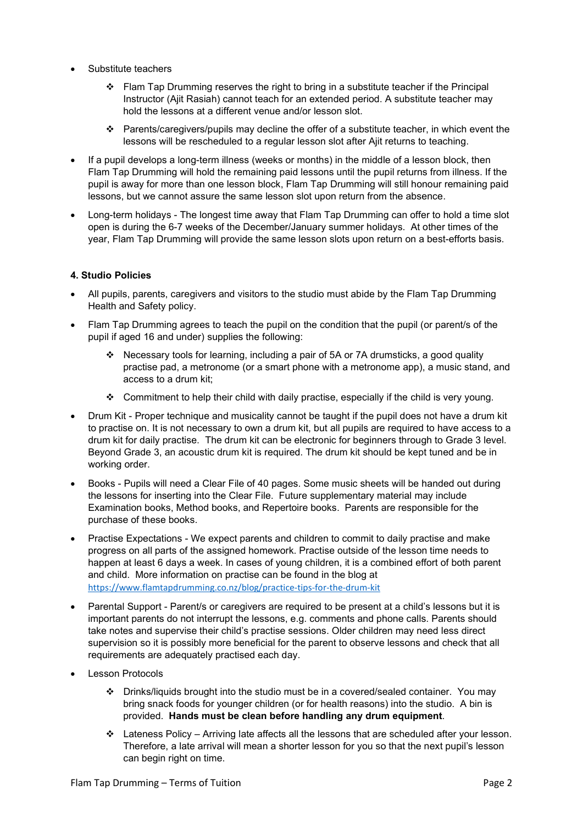- Substitute teachers
	- $\div$  Flam Tap Drumming reserves the right to bring in a substitute teacher if the Principal Instructor (Ajit Rasiah) cannot teach for an extended period. A substitute teacher may hold the lessons at a different venue and/or lesson slot.
	- $\cdot \cdot$  Parents/caregivers/pupils may decline the offer of a substitute teacher, in which event the lessons will be rescheduled to a regular lesson slot after Ajit returns to teaching.
- If a pupil develops a long-term illness (weeks or months) in the middle of a lesson block, then Flam Tap Drumming will hold the remaining paid lessons until the pupil returns from illness. If the pupil is away for more than one lesson block, Flam Tap Drumming will still honour remaining paid lessons, but we cannot assure the same lesson slot upon return from the absence.
- Long-term holidays The longest time away that Flam Tap Drumming can offer to hold a time slot open is during the 6-7 weeks of the December/January summer holidays. At other times of the year, Flam Tap Drumming will provide the same lesson slots upon return on a best-efforts basis.

### 4. Studio Policies

- All pupils, parents, caregivers and visitors to the studio must abide by the Flam Tap Drumming Health and Safety policy.
- Flam Tap Drumming agrees to teach the pupil on the condition that the pupil (or parent/s of the pupil if aged 16 and under) supplies the following:
	- $\div$  Necessary tools for learning, including a pair of 5A or 7A drumsticks, a good quality practise pad, a metronome (or a smart phone with a metronome app), a music stand, and access to a drum kit;
	- $\div$  Commitment to help their child with daily practise, especially if the child is very young.
- Drum Kit Proper technique and musicality cannot be taught if the pupil does not have a drum kit to practise on. It is not necessary to own a drum kit, but all pupils are required to have access to a drum kit for daily practise. The drum kit can be electronic for beginners through to Grade 3 level. Beyond Grade 3, an acoustic drum kit is required. The drum kit should be kept tuned and be in working order.
- Books Pupils will need a Clear File of 40 pages. Some music sheets will be handed out during the lessons for inserting into the Clear File. Future supplementary material may include Examination books, Method books, and Repertoire books. Parents are responsible for the purchase of these books.
- Practise Expectations We expect parents and children to commit to daily practise and make progress on all parts of the assigned homework. Practise outside of the lesson time needs to happen at least 6 days a week. In cases of young children, it is a combined effort of both parent and child. More information on practise can be found in the blog at https://www.flamtapdrumming.co.nz/blog/practice-tips-for-the-drum-kit
- Parental Support Parent/s or caregivers are required to be present at a child's lessons but it is important parents do not interrupt the lessons, e.g. comments and phone calls. Parents should take notes and supervise their child's practise sessions. Older children may need less direct supervision so it is possibly more beneficial for the parent to observe lessons and check that all requirements are adequately practised each day.
- Lesson Protocols
	- Drinks/liquids brought into the studio must be in a covered/sealed container. You may bring snack foods for younger children (or for health reasons) into the studio. A bin is provided. Hands must be clean before handling any drum equipment.
	- Lateness Policy Arriving late affects all the lessons that are scheduled after your lesson. Therefore, a late arrival will mean a shorter lesson for you so that the next pupil's lesson can begin right on time.